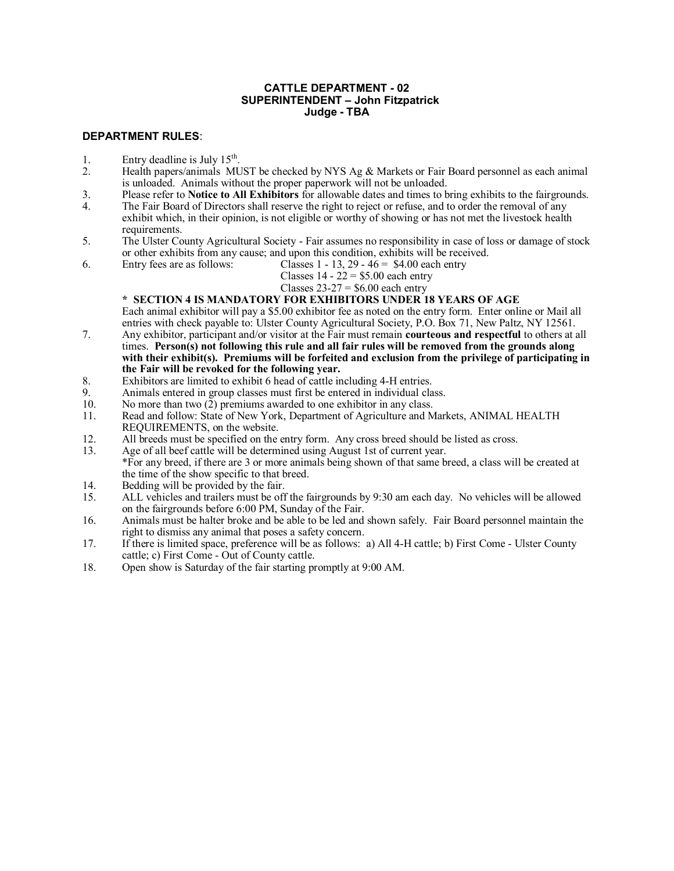#### **CATTLE DEPARTMENT - 02 SUPERINTENDENT – John Fitzpatrick Judge - TBA**

### **DEPARTMENT RULES**:

- 1. Entry deadline is July  $15<sup>th</sup>$ .
- 2. Health papers/animals MUST be checked by NYS Ag & Markets or Fair Board personnel as each animal is unloaded. Animals without the proper paperwork will not be unloaded.
- 3. Please refer to **Notice to All Exhibitors** for allowable dates and times to bring exhibits to the fairgrounds.
- 4. The Fair Board of Directors shall reserve the right to reject or refuse, and to order the removal of any exhibit which, in their opinion, is not eligible or worthy of showing or has not met the livestock health requirements.
- 5. The Ulster County Agricultural Society Fair assumes no responsibility in case of loss or damage of stock or other exhibits from any cause; and upon this condition, exhibits will be received.
- 6. Entry fees are as follows: Classes  $1 13$ ,  $29 46 = $4.00$  each entry
	- Classes  $14 22 = $5.00$  each entry

#### Classes  $23-27 = $6.00$  each entry

### **\* SECTION 4 IS MANDATORY FOR EXHIBITORS UNDER 18 YEARS OF AGE**

Each animal exhibitor will pay a \$5.00 exhibitor fee as noted on the entry form. Enter online or Mail all entries with check payable to: Ulster County Agricultural Society, P.O. Box 71, New Paltz, NY 12561.

- 7. Any exhibitor, participant and/or visitor at the Fair must remain **courteous and respectful** to others at all times. **Person(s) not following this rule and all fair rules will be removed from the grounds along with their exhibit(s). Premiums will be forfeited and exclusion from the privilege of participating in the Fair will be revoked for the following year.**
- 8. Exhibitors are limited to exhibit 6 head of cattle including 4-H entries.<br>9. Animals entered in group classes must first be entered in individual cla
- 9. Animals entered in group classes must first be entered in individual class.<br>10. No more than two  $(2)$  premiums awarded to one exhibitor in any class.
- No more than two (2) premiums awarded to one exhibitor in any class.
- 11. Read and follow: State of New York, Department of Agriculture and Markets, ANIMAL HEALTH REQUIREMENTS, on the website.
- 12. All breeds must be specified on the entry form. Any cross breed should be listed as cross.
- 13. Age of all beef cattle will be determined using August 1st of current year. \*For any breed, if there are 3 or more animals being shown of that same breed, a class will be created at the time of the show specific to that breed.
- 14. Bedding will be provided by the fair.
- 15. ALL vehicles and trailers must be off the fairgrounds by 9:30 am each day. No vehicles will be allowed on the fairgrounds before 6:00 PM, Sunday of the Fair.
- 16. Animals must be halter broke and be able to be led and shown safely. Fair Board personnel maintain the right to dismiss any animal that poses a safety concern.
- 17. If there is limited space, preference will be as follows: a) All 4-H cattle; b) First Come Ulster County cattle; c) First Come - Out of County cattle.
- 18. Open show is Saturday of the fair starting promptly at 9:00 AM.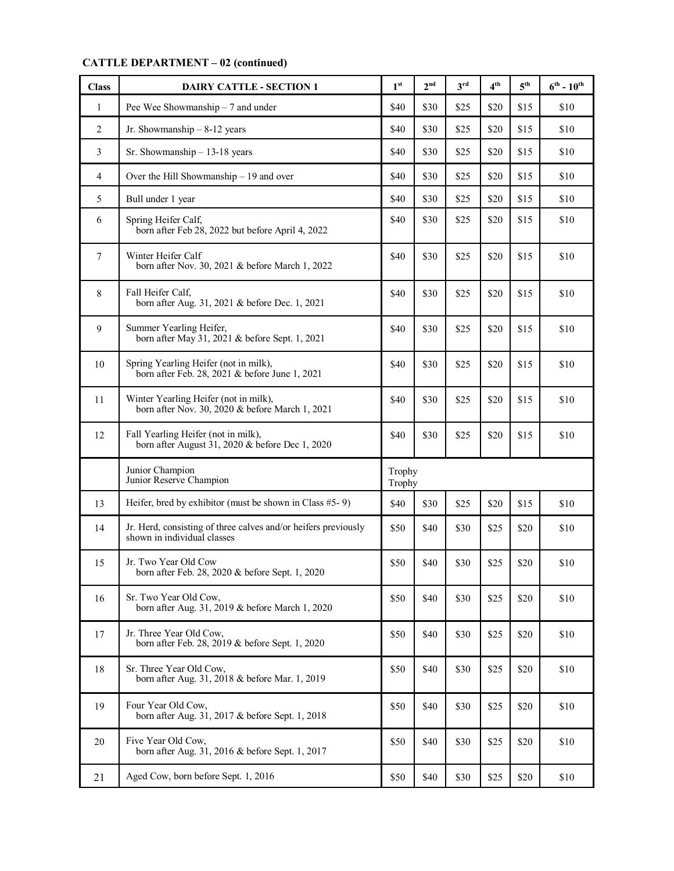# **CATTLE DEPARTMENT – 02 (continued)**

| <b>Class</b>   | <b>DAIRY CATTLE - SECTION 1</b>                                                               | 1 <sup>st</sup>  | 2 <sub>nd</sub> | $3^{\text{rd}}$ | 4 <sup>th</sup> | 5 <sup>th</sup> | $6^{th}$ - $10^{th}$ |
|----------------|-----------------------------------------------------------------------------------------------|------------------|-----------------|-----------------|-----------------|-----------------|----------------------|
| $\mathbf{1}$   | Pee Wee Showmanship - 7 and under                                                             | \$40             | \$30            | \$25            | \$20            | \$15            | \$10                 |
| $\overline{2}$ | Jr. Showmanship $-8-12$ years                                                                 | \$40             | \$30            | \$25            | \$20            | \$15            | \$10                 |
| 3              | Sr. Showmanship $-13-18$ years                                                                | \$40             | \$30            | \$25            | \$20            | \$15            | \$10                 |
| 4              | Over the Hill Showmanship $-19$ and over                                                      | \$40             | \$30            | \$25            | \$20            | \$15            | \$10                 |
| 5              | Bull under 1 year                                                                             | \$40             | \$30            | \$25            | \$20            | \$15            | \$10                 |
| 6              | Spring Heifer Calf,<br>born after Feb 28, 2022 but before April 4, 2022                       | \$40             | \$30            | \$25            | \$20            | \$15            | \$10                 |
| 7              | Winter Heifer Calf<br>born after Nov. 30, 2021 & before March 1, 2022                         | \$40             | \$30            | \$25            | \$20            | \$15            | \$10                 |
| 8              | Fall Heifer Calf,<br>born after Aug. 31, 2021 & before Dec. 1, 2021                           | \$40             | \$30            | \$25            | \$20            | \$15            | \$10                 |
| 9              | Summer Yearling Heifer,<br>born after May 31, 2021 & before Sept. 1, 2021                     | \$40             | \$30            | \$25            | \$20            | \$15            | \$10                 |
| 10             | Spring Yearling Heifer (not in milk),<br>born after Feb. 28, 2021 & before June 1, 2021       | \$40             | \$30            | \$25            | \$20            | \$15            | \$10                 |
| 11             | Winter Yearling Heifer (not in milk),<br>born after Nov. 30, 2020 & before March 1, 2021      | \$40             | \$30            | \$25            | \$20            | \$15            | \$10                 |
| 12             | Fall Yearling Heifer (not in milk),<br>born after August 31, 2020 & before Dec 1, 2020        | \$40             | \$30            | \$25            | \$20            | \$15            | \$10                 |
|                | Junior Champion<br>Junior Reserve Champion                                                    | Trophy<br>Trophy |                 |                 |                 |                 |                      |
| 13             | Heifer, bred by exhibitor (must be shown in Class $#5-9$ )                                    | \$40             | \$30            | \$25            | \$20            | \$15            | \$10                 |
| 14             | Jr. Herd, consisting of three calves and/or heifers previously<br>shown in individual classes | \$50             | \$40            | \$30            | \$25            | \$20            | \$10                 |
| 15             | Jr. Two Year Old Cow<br>born after Feb. 28, 2020 & before Sept. 1, 2020                       | \$50             | \$40            | \$30            | \$25            | \$20            | \$10                 |
| 16             | Sr. Two Year Old Cow,<br>born after Aug. 31, 2019 & before March 1, 2020                      | \$50             | \$40            | \$30            | \$25            | \$20            | \$10                 |
| 17             | Jr. Three Year Old Cow,<br>born after Feb. 28, 2019 & before Sept. 1, 2020                    | \$50             | \$40            | \$30            | \$25            | \$20            | \$10                 |
| 18             | Sr. Three Year Old Cow,<br>born after Aug. 31, 2018 & before Mar. 1, 2019                     | \$50             | \$40            | \$30            | \$25            | \$20            | \$10                 |
| 19             | Four Year Old Cow,<br>born after Aug. 31, 2017 & before Sept. 1, 2018                         | \$50             | \$40            | \$30            | \$25            | \$20            | \$10                 |
| 20             | Five Year Old Cow,<br>born after Aug. 31, 2016 & before Sept. 1, 2017                         | \$50             | \$40            | \$30            | \$25            | \$20            | \$10                 |
| 21             | Aged Cow, born before Sept. 1, 2016                                                           | \$50             | \$40            | \$30            | \$25            | \$20            | \$10                 |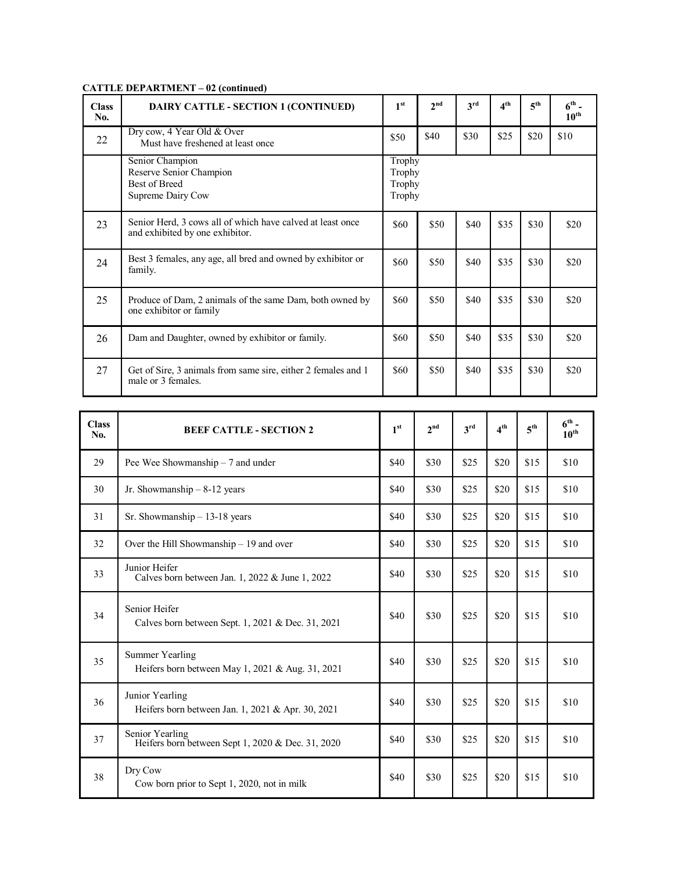## **CATTLE DEPARTMENT – 02 (continued)**

| <b>Class</b><br>No. | DAIRY CATTLE - SECTION 1 (CONTINUED)                                                          | 1 <sup>st</sup>                      | 2 <sub>nd</sub> | 3 <sup>rd</sup> | 4 <sup>th</sup> | 5 <sup>th</sup> | $6th$ -<br>10 <sup>th</sup> |
|---------------------|-----------------------------------------------------------------------------------------------|--------------------------------------|-----------------|-----------------|-----------------|-----------------|-----------------------------|
| 22                  | Dry cow, 4 Year Old & Over<br>Must have freshened at least once                               | \$50                                 | \$40            | \$30            | \$25            | \$20            | \$10                        |
|                     | Senior Champion<br>Reserve Senior Champion<br><b>Best of Breed</b><br>Supreme Dairy Cow       | Trophy<br>Trophy<br>Trophy<br>Trophy |                 |                 |                 |                 |                             |
| 23                  | Senior Herd, 3 cows all of which have calved at least once<br>and exhibited by one exhibitor. | \$60                                 | \$50            | \$40            | \$35            | \$30            | \$20                        |
| 24                  | Best 3 females, any age, all bred and owned by exhibitor or<br>family.                        | \$60                                 | \$50            | \$40            | \$35            | \$30            | \$20                        |
| 25                  | Produce of Dam, 2 animals of the same Dam, both owned by<br>one exhibitor or family           | \$60                                 | \$50            | \$40            | \$35            | \$30            | \$20                        |
| 26                  | Dam and Daughter, owned by exhibitor or family.                                               | \$60                                 | \$50            | \$40            | \$35            | \$30            | \$20                        |
| 27                  | Get of Sire, 3 animals from same sire, either 2 females and 1<br>male or 3 females.           | \$60                                 | \$50            | \$40            | \$35            | \$30            | \$20                        |

| <b>Class</b><br>No. | <b>BEEF CATTLE - SECTION 2</b>                                             | 1 <sup>st</sup> | 2 <sup>nd</sup> | $3^{\text{rd}}$ | $\bf{1}^{\rm th}$ | $5^{\text{th}}$ | $6th$ -<br>$10^{th}$ |
|---------------------|----------------------------------------------------------------------------|-----------------|-----------------|-----------------|-------------------|-----------------|----------------------|
| 29                  | Pee Wee Showmanship $-7$ and under                                         | \$40            | \$30            | \$25            | \$20              | \$15            | \$10                 |
| 30                  | Jr. Showmanship $-8-12$ years                                              | \$40            | \$30            | \$25            | \$20              | \$15            | \$10                 |
| 31                  | Sr. Showmanship $-13-18$ years                                             | \$40            | \$30            | \$25            | \$20              | \$15            | \$10                 |
| 32                  | Over the Hill Showmanship $-19$ and over                                   | \$40            | \$30            | \$25            | \$20              | \$15            | \$10                 |
| 33                  | Junior Heifer<br>Calves born between Jan. 1, 2022 & June 1, 2022           | \$40            | \$30            | \$25            | \$20              | \$15            | \$10                 |
| 34                  | Senior Heifer<br>Calves born between Sept. 1, 2021 & Dec. 31, 2021         | \$40            | \$30            | \$25            | \$20              | \$15            | \$10                 |
| 35                  | <b>Summer Yearling</b><br>Heifers born between May 1, 2021 & Aug. 31, 2021 | \$40            | \$30            | \$25            | \$20              | \$15            | \$10                 |
| 36                  | Junior Yearling<br>Heifers born between Jan. 1, 2021 & Apr. 30, 2021       | \$40            | \$30            | \$25            | \$20              | \$15            | \$10                 |
| 37                  | Senior Yearling<br>Heifers born between Sept 1, 2020 & Dec. 31, 2020       | \$40            | \$30            | \$25            | \$20              | \$15            | \$10                 |
| 38                  | Dry Cow<br>Cow born prior to Sept 1, 2020, not in milk                     | \$40            | \$30            | \$25            | \$20              | \$15            | \$10                 |